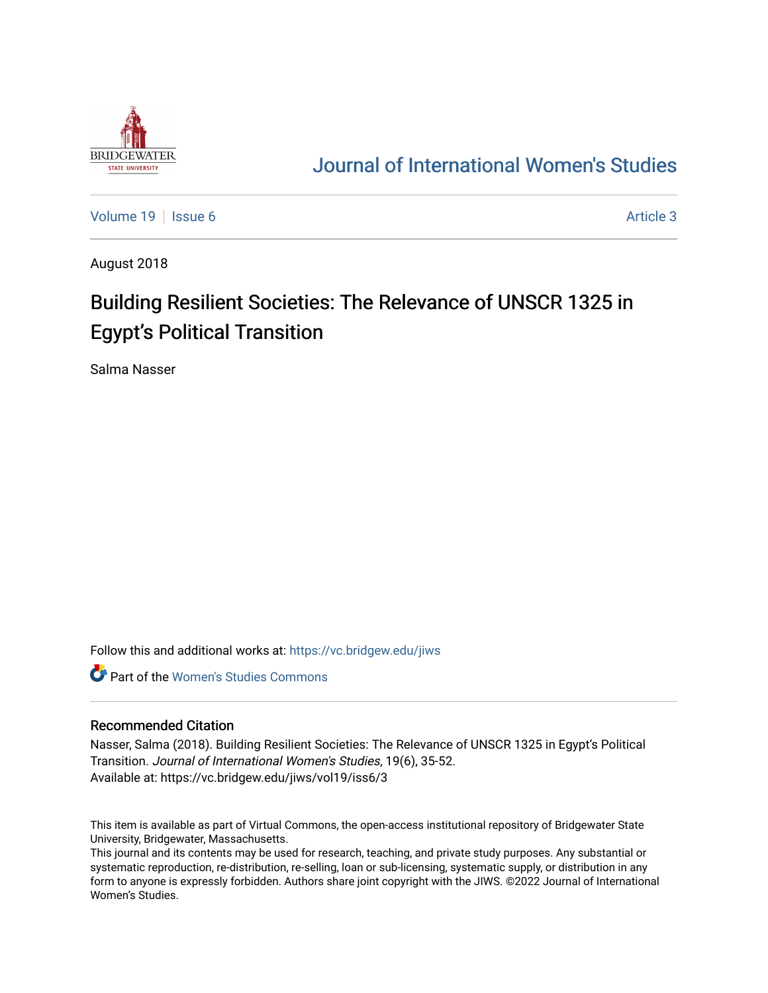

## [Journal of International Women's Studies](https://vc.bridgew.edu/jiws)

[Volume 19](https://vc.bridgew.edu/jiws/vol19) | [Issue 6](https://vc.bridgew.edu/jiws/vol19/iss6) Article 3

August 2018

# Building Resilient Societies: The Relevance of UNSCR 1325 in **Egypt's Political Transition**

Salma Nasser

Follow this and additional works at: [https://vc.bridgew.edu/jiws](https://vc.bridgew.edu/jiws?utm_source=vc.bridgew.edu%2Fjiws%2Fvol19%2Fiss6%2F3&utm_medium=PDF&utm_campaign=PDFCoverPages)

**C** Part of the Women's Studies Commons

#### Recommended Citation

Nasser, Salma (2018). Building Resilient Societies: The Relevance of UNSCR 1325 in Egypt's Political Transition. Journal of International Women's Studies, 19(6), 35-52. Available at: https://vc.bridgew.edu/jiws/vol19/iss6/3

This item is available as part of Virtual Commons, the open-access institutional repository of Bridgewater State University, Bridgewater, Massachusetts.

This journal and its contents may be used for research, teaching, and private study purposes. Any substantial or systematic reproduction, re-distribution, re-selling, loan or sub-licensing, systematic supply, or distribution in any form to anyone is expressly forbidden. Authors share joint copyright with the JIWS. ©2022 Journal of International Women's Studies.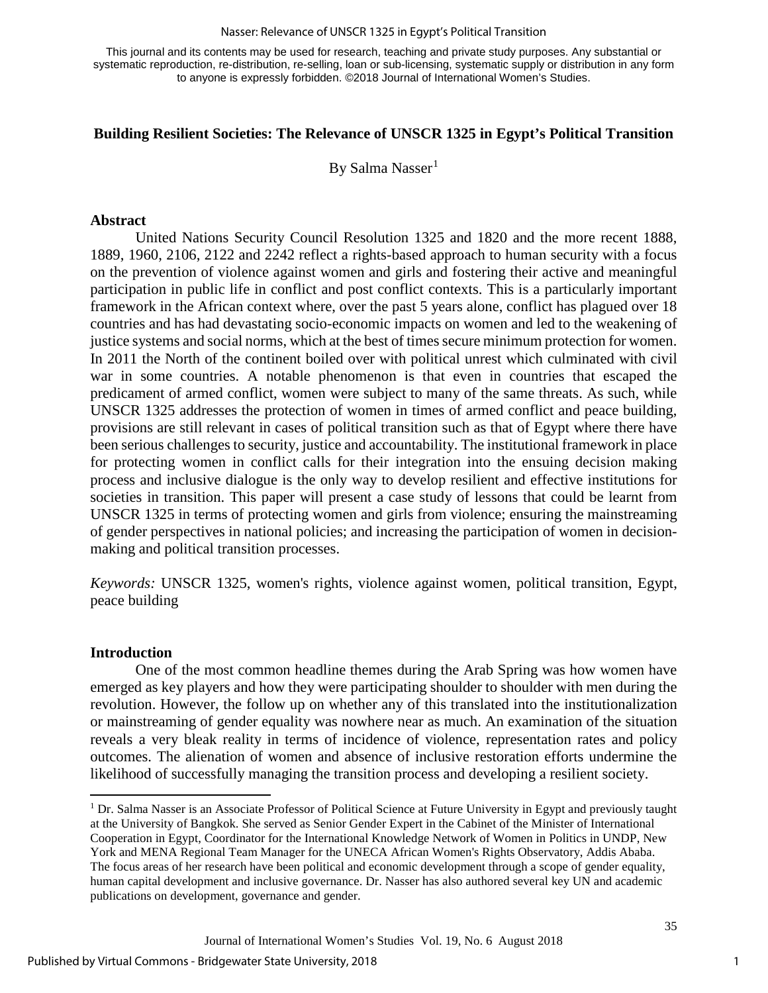#### Nasser: Relevance of UNSCR 1325 in Egypt's Political Transition

This journal and its contents may be used for research, teaching and private study purposes. Any substantial or systematic reproduction, re-distribution, re-selling, loan or sub-licensing, systematic supply or distribution in any form to anyone is expressly forbidden. ©2018 Journal of International Women's Studies.

#### **Building Resilient Societies: The Relevance of UNSCR 1325 in Egypt's Political Transition**

By Salma Nasser<sup>[1](#page-1-0)</sup>

#### **Abstract**

United Nations Security Council Resolution 1325 and 1820 and the more recent 1888, 1889, 1960, 2106, 2122 and 2242 reflect a rights-based approach to human security with a focus on the prevention of violence against women and girls and fostering their active and meaningful participation in public life in conflict and post conflict contexts. This is a particularly important framework in the African context where, over the past 5 years alone, conflict has plagued over 18 countries and has had devastating socio-economic impacts on women and led to the weakening of justice systems and social norms, which at the best of times secure minimum protection for women. In 2011 the North of the continent boiled over with political unrest which culminated with civil war in some countries. A notable phenomenon is that even in countries that escaped the predicament of armed conflict, women were subject to many of the same threats. As such, while UNSCR 1325 addresses the protection of women in times of armed conflict and peace building, provisions are still relevant in cases of political transition such as that of Egypt where there have been serious challenges to security, justice and accountability. The institutional framework in place for protecting women in conflict calls for their integration into the ensuing decision making process and inclusive dialogue is the only way to develop resilient and effective institutions for societies in transition. This paper will present a case study of lessons that could be learnt from UNSCR 1325 in terms of protecting women and girls from violence; ensuring the mainstreaming of gender perspectives in national policies; and increasing the participation of women in decisionmaking and political transition processes.

*Keywords:* UNSCR 1325, women's rights, violence against women, political transition, Egypt, peace building

#### **Introduction**

l

One of the most common headline themes during the Arab Spring was how women have emerged as key players and how they were participating shoulder to shoulder with men during the revolution. However, the follow up on whether any of this translated into the institutionalization or mainstreaming of gender equality was nowhere near as much. An examination of the situation reveals a very bleak reality in terms of incidence of violence, representation rates and policy outcomes. The alienation of women and absence of inclusive restoration efforts undermine the likelihood of successfully managing the transition process and developing a resilient society.

1

<span id="page-1-0"></span><sup>&</sup>lt;sup>1</sup> Dr. Salma Nasser is an Associate Professor of Political Science at Future University in Egypt and previously taught at the University of Bangkok. She served as Senior Gender Expert in the Cabinet of the Minister of International Cooperation in Egypt, Coordinator for the International Knowledge Network of Women in Politics in UNDP, New York and MENA Regional Team Manager for the UNECA African Women's Rights Observatory, Addis Ababa. The focus areas of her research have been political and economic development through a scope of gender equality, human capital development and inclusive governance. Dr. Nasser has also authored several key UN and academic publications on development, governance and gender.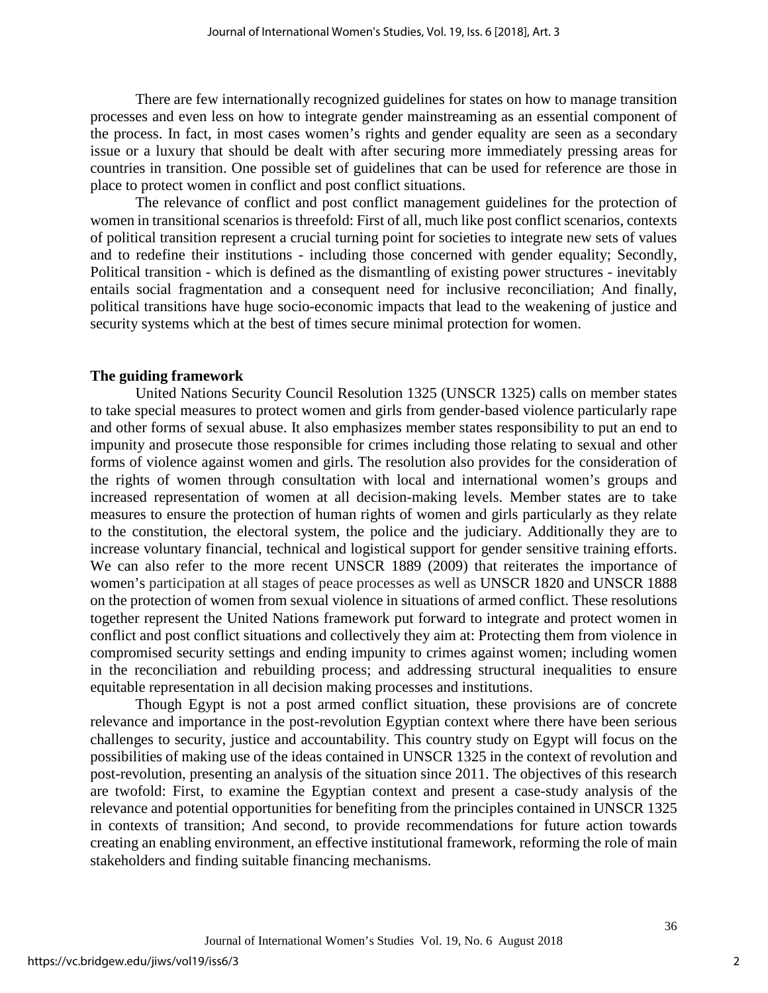There are few internationally recognized guidelines for states on how to manage transition processes and even less on how to integrate gender mainstreaming as an essential component of the process. In fact, in most cases women's rights and gender equality are seen as a secondary issue or a luxury that should be dealt with after securing more immediately pressing areas for countries in transition. One possible set of guidelines that can be used for reference are those in place to protect women in conflict and post conflict situations.

The relevance of conflict and post conflict management guidelines for the protection of women in transitional scenarios is threefold: First of all, much like post conflict scenarios, contexts of political transition represent a crucial turning point for societies to integrate new sets of values and to redefine their institutions - including those concerned with gender equality; Secondly, Political transition - which is defined as the dismantling of existing power structures - inevitably entails social fragmentation and a consequent need for inclusive reconciliation; And finally, political transitions have huge socio-economic impacts that lead to the weakening of justice and security systems which at the best of times secure minimal protection for women.

#### **The guiding framework**

United Nations Security Council Resolution 1325 (UNSCR 1325) calls on member states to take special measures to protect women and girls from gender-based violence particularly rape and other forms of sexual abuse. It also emphasizes member states responsibility to put an end to impunity and prosecute those responsible for crimes including those relating to sexual and other forms of violence against women and girls. The resolution also provides for the consideration of the rights of women through consultation with local and international women's groups and increased representation of women at all decision-making levels. Member states are to take measures to ensure the protection of human rights of women and girls particularly as they relate to the constitution, the electoral system, the police and the judiciary. Additionally they are to increase voluntary financial, technical and logistical support for gender sensitive training efforts. We can also refer to the more recent UNSCR 1889 (2009) that reiterates the importance of women's participation at all stages of peace processes as well as UNSCR 1820 and UNSCR 1888 on the protection of women from sexual violence in situations of armed conflict. These resolutions together represent the United Nations framework put forward to integrate and protect women in conflict and post conflict situations and collectively they aim at: Protecting them from violence in compromised security settings and ending impunity to crimes against women; including women in the reconciliation and rebuilding process; and addressing structural inequalities to ensure equitable representation in all decision making processes and institutions.

Though Egypt is not a post armed conflict situation, these provisions are of concrete relevance and importance in the post-revolution Egyptian context where there have been serious challenges to security, justice and accountability. This country study on Egypt will focus on the possibilities of making use of the ideas contained in UNSCR 1325 in the context of revolution and post-revolution, presenting an analysis of the situation since 2011. The objectives of this research are twofold: First, to examine the Egyptian context and present a case-study analysis of the relevance and potential opportunities for benefiting from the principles contained in UNSCR 1325 in contexts of transition; And second, to provide recommendations for future action towards creating an enabling environment, an effective institutional framework, reforming the role of main stakeholders and finding suitable financing mechanisms.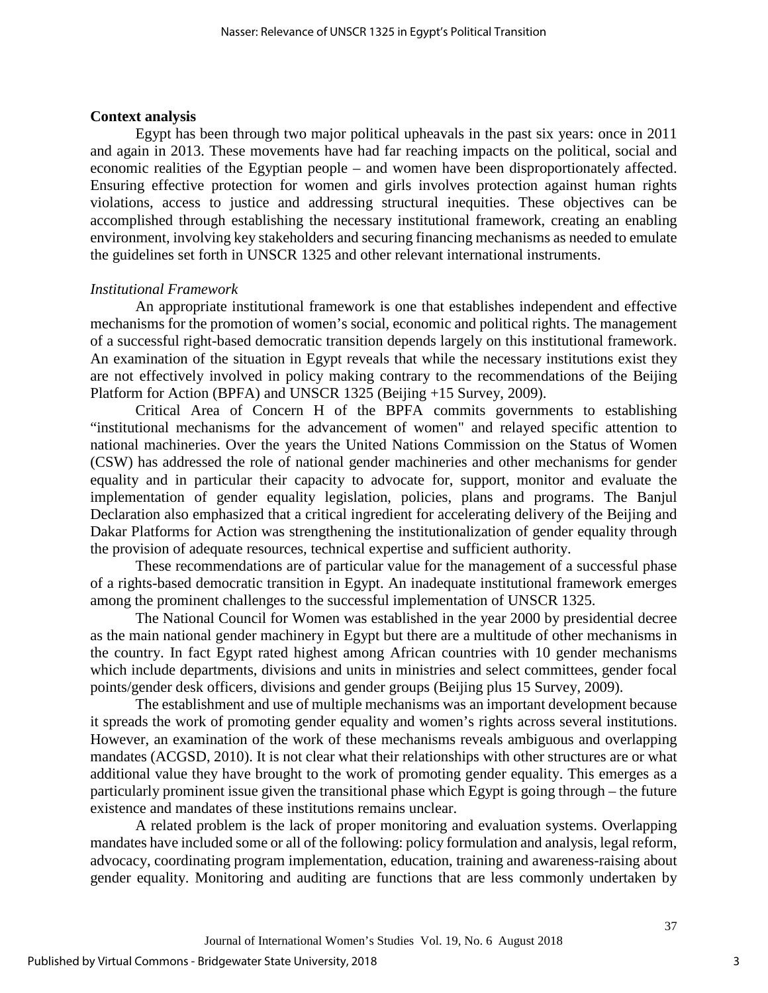#### **Context analysis**

Egypt has been through two major political upheavals in the past six years: once in 2011 and again in 2013. These movements have had far reaching impacts on the political, social and economic realities of the Egyptian people – and women have been disproportionately affected. Ensuring effective protection for women and girls involves protection against human rights violations, access to justice and addressing structural inequities. These objectives can be accomplished through establishing the necessary institutional framework, creating an enabling environment, involving key stakeholders and securing financing mechanisms as needed to emulate the guidelines set forth in UNSCR 1325 and other relevant international instruments.

#### *Institutional Framework*

An appropriate institutional framework is one that establishes independent and effective mechanisms for the promotion of women's social, economic and political rights. The management of a successful right-based democratic transition depends largely on this institutional framework. An examination of the situation in Egypt reveals that while the necessary institutions exist they are not effectively involved in policy making contrary to the recommendations of the Beijing Platform for Action (BPFA) and UNSCR 1325 (Beijing +15 Survey, 2009).

Critical Area of Concern H of the BPFA commits governments to establishing "institutional mechanisms for the advancement of women" and relayed specific attention to national machineries. Over the years the United Nations Commission on the Status of Women (CSW) has addressed the role of national gender machineries and other mechanisms for gender equality and in particular their capacity to advocate for, support, monitor and evaluate the implementation of gender equality legislation, policies, plans and programs. The Banjul Declaration also emphasized that a critical ingredient for accelerating delivery of the Beijing and Dakar Platforms for Action was strengthening the institutionalization of gender equality through the provision of adequate resources, technical expertise and sufficient authority.

These recommendations are of particular value for the management of a successful phase of a rights-based democratic transition in Egypt. An inadequate institutional framework emerges among the prominent challenges to the successful implementation of UNSCR 1325.

The National Council for Women was established in the year 2000 by presidential decree as the main national gender machinery in Egypt but there are a multitude of other mechanisms in the country. In fact Egypt rated highest among African countries with 10 gender mechanisms which include departments, divisions and units in ministries and select committees, gender focal points/gender desk officers, divisions and gender groups (Beijing plus 15 Survey, 2009).

The establishment and use of multiple mechanisms was an important development because it spreads the work of promoting gender equality and women's rights across several institutions. However, an examination of the work of these mechanisms reveals ambiguous and overlapping mandates (ACGSD, 2010). It is not clear what their relationships with other structures are or what additional value they have brought to the work of promoting gender equality. This emerges as a particularly prominent issue given the transitional phase which Egypt is going through – the future existence and mandates of these institutions remains unclear.

A related problem is the lack of proper monitoring and evaluation systems. Overlapping mandates have included some or all of the following: policy formulation and analysis, legal reform, advocacy, coordinating program implementation, education, training and awareness-raising about gender equality. Monitoring and auditing are functions that are less commonly undertaken by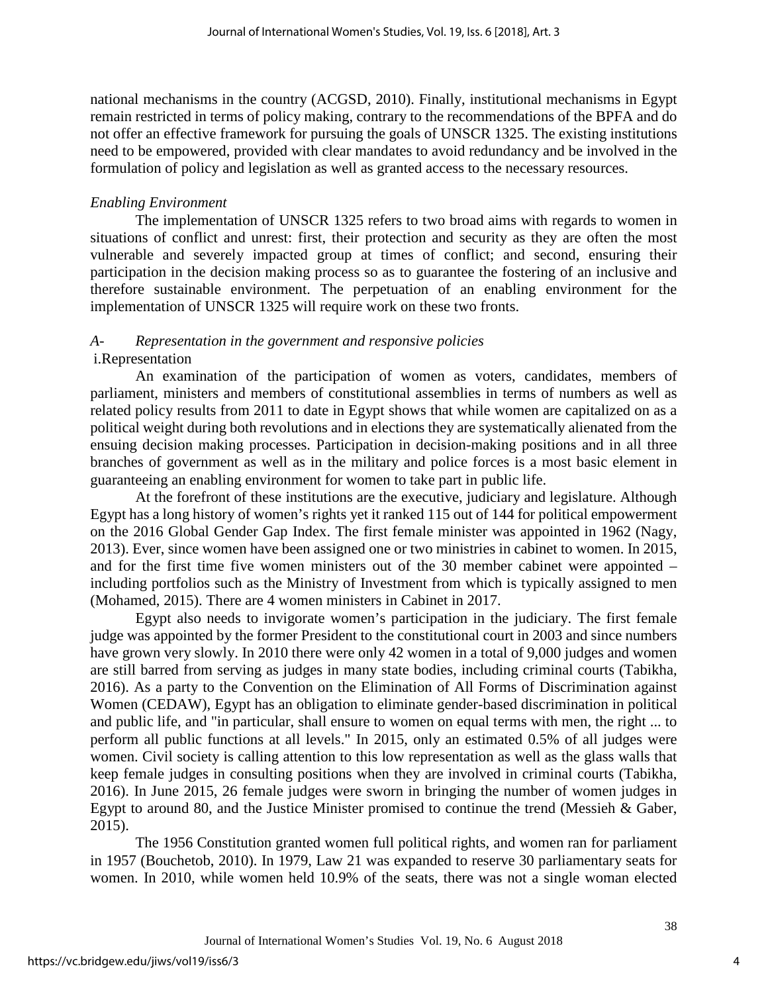national mechanisms in the country (ACGSD, 2010). Finally, institutional mechanisms in Egypt remain restricted in terms of policy making, contrary to the recommendations of the BPFA and do not offer an effective framework for pursuing the goals of UNSCR 1325. The existing institutions need to be empowered, provided with clear mandates to avoid redundancy and be involved in the formulation of policy and legislation as well as granted access to the necessary resources.

## *Enabling Environment*

The implementation of UNSCR 1325 refers to two broad aims with regards to women in situations of conflict and unrest: first, their protection and security as they are often the most vulnerable and severely impacted group at times of conflict; and second, ensuring their participation in the decision making process so as to guarantee the fostering of an inclusive and therefore sustainable environment. The perpetuation of an enabling environment for the implementation of UNSCR 1325 will require work on these two fronts.

## *A- Representation in the government and responsive policies* i.Representation

An examination of the participation of women as voters, candidates, members of parliament, ministers and members of constitutional assemblies in terms of numbers as well as related policy results from 2011 to date in Egypt shows that while women are capitalized on as a political weight during both revolutions and in elections they are systematically alienated from the ensuing decision making processes. Participation in decision-making positions and in all three branches of government as well as in the military and police forces is a most basic element in guaranteeing an enabling environment for women to take part in public life.

At the forefront of these institutions are the executive, judiciary and legislature. Although Egypt has a long history of women's rights yet it ranked 115 out of 144 for political empowerment on the 2016 Global Gender Gap Index. The first female minister was appointed in 1962 (Nagy, 2013). Ever, since women have been assigned one or two ministries in cabinet to women. In 2015, and for the first time five women ministers out of the 30 member cabinet were appointed – including portfolios such as the Ministry of Investment from which is typically assigned to men (Mohamed, 2015). There are 4 women ministers in Cabinet in 2017.

Egypt also needs to invigorate women's participation in the judiciary. The first female judge was appointed by the former President to the constitutional court in 2003 and since numbers have grown very slowly. In 2010 there were only 42 women in a total of 9,000 judges and women are still barred from serving as judges in many state bodies, including criminal courts (Tabikha, 2016). As a party to the Convention on the Elimination of All Forms of Discrimination against Women (CEDAW), Egypt has an obligation to eliminate gender-based discrimination in political and public life, and "in particular, shall ensure to women on equal terms with men, the right ... to perform all public functions at all levels." In 2015, only an estimated 0.5% of all judges were women. Civil society is calling attention to this low representation as well as the glass walls that keep female judges in consulting positions when they are involved in criminal courts (Tabikha, 2016). In June 2015, 26 female judges were sworn in bringing the number of women judges in Egypt to around 80, and the Justice Minister promised to continue the trend (Messieh & Gaber, 2015).

The 1956 Constitution granted women full political rights, and women ran for parliament in 1957 (Bouchetob, 2010). In 1979, Law 21 was expanded to reserve 30 parliamentary seats for women. In 2010, while women held 10.9% of the seats, there was not a single woman elected

4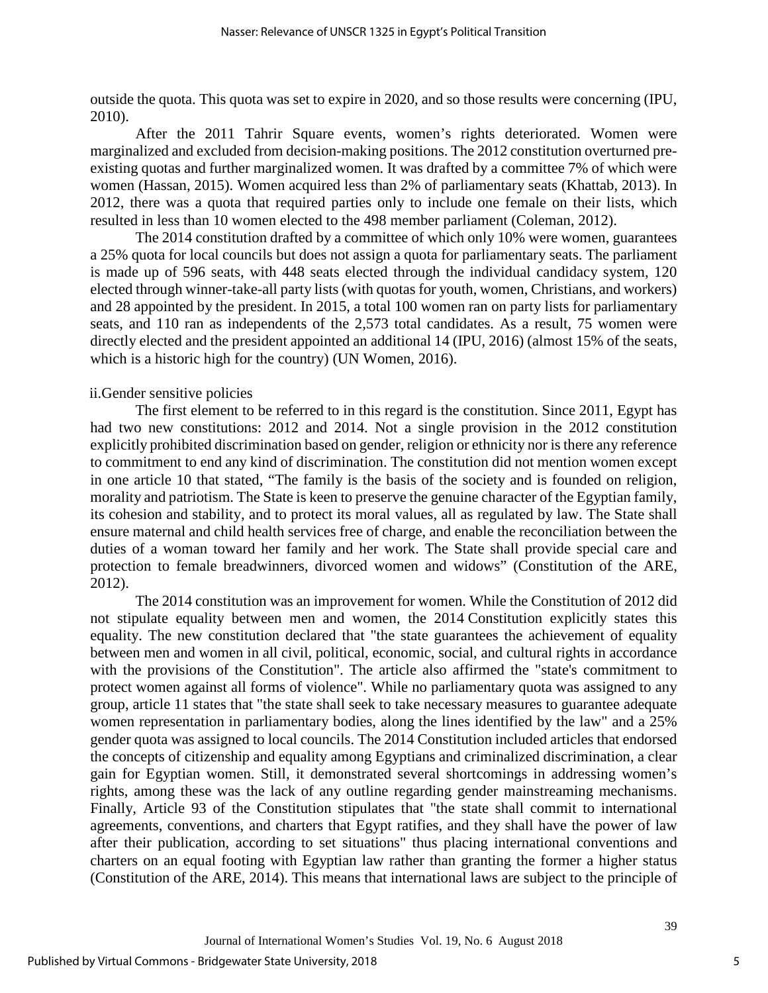outside the quota. This quota was set to expire in 2020, and so those results were concerning (IPU, 2010).

After the 2011 Tahrir Square events, women's rights deteriorated. Women were marginalized and excluded from decision-making positions. The 2012 constitution overturned preexisting quotas and further marginalized women. It was drafted by a committee 7% of which were women (Hassan, 2015). Women acquired less than 2% of parliamentary seats (Khattab, 2013). In 2012, there was a quota that required parties only to include one female on their lists, which resulted in less than 10 women elected to the 498 member parliament (Coleman, 2012).

The 2014 constitution drafted by a committee of which only 10% were women, guarantees a 25% quota for local councils but does not assign a quota for parliamentary seats. The parliament is made up of 596 seats, with 448 seats elected through the individual candidacy system, 120 elected through winner-take-all party lists (with quotas for youth, women, Christians, and workers) and 28 appointed by the president. In 2015, a total 100 women ran on party lists for parliamentary seats, and 110 ran as independents of the 2,573 total candidates. As a result, 75 women were directly elected and the president appointed an additional 14 (IPU, 2016) (almost 15% of the seats, which is a historic high for the country) (UN Women, 2016).

#### ii.Gender sensitive policies

The first element to be referred to in this regard is the constitution. Since 2011, Egypt has had two new constitutions: 2012 and 2014. Not a single provision in the 2012 constitution explicitly prohibited discrimination based on gender, religion or ethnicity nor is there any reference to commitment to end any kind of discrimination. The constitution did not mention women except in one article 10 that stated, "The family is the basis of the society and is founded on religion, morality and patriotism. The State is keen to preserve the genuine character of the Egyptian family, its cohesion and stability, and to protect its moral values, all as regulated by law. The State shall ensure maternal and child health services free of charge, and enable the reconciliation between the duties of a woman toward her family and her work. The State shall provide special care and protection to female breadwinners, divorced women and widows" (Constitution of the ARE, 2012).

The 2014 constitution was an improvement for women. While the Constitution of 2012 did not stipulate equality between men and women, the 2014 Constitution explicitly states this equality. The new constitution declared that "the state guarantees the achievement of equality between men and women in all civil, political, economic, social, and cultural rights in accordance with the provisions of the Constitution". The article also affirmed the "state's commitment to protect women against all forms of violence". While no parliamentary quota was assigned to any group, article 11 states that "the state shall seek to take necessary measures to guarantee adequate women representation in parliamentary bodies, along the lines identified by the law" and a 25% gender quota was assigned to local councils. The 2014 Constitution included articles that endorsed the concepts of citizenship and equality among Egyptians and criminalized discrimination, a clear gain for Egyptian women. Still, it demonstrated several shortcomings in addressing women's rights, among these was the lack of any outline regarding gender mainstreaming mechanisms. Finally, Article 93 of the Constitution stipulates that "the state shall commit to international agreements, conventions, and charters that Egypt ratifies, and they shall have the power of law after their publication, according to set situations" thus placing international conventions and charters on an equal footing with Egyptian law rather than granting the former a higher status (Constitution of the ARE, 2014). This means that international laws are subject to the principle of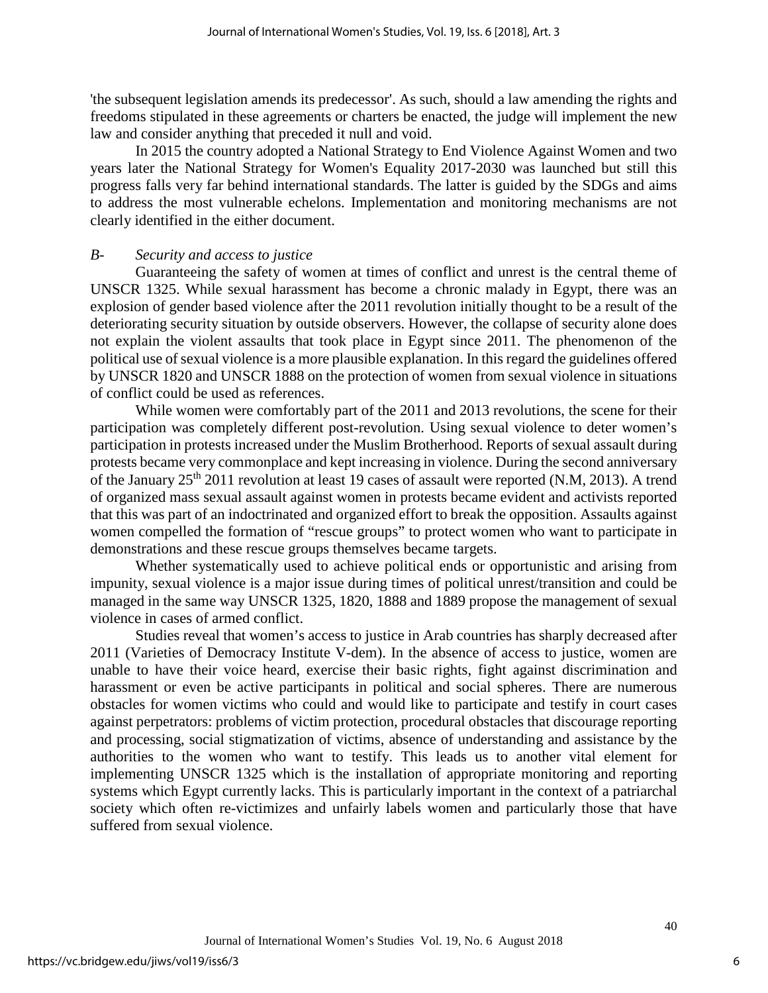'the subsequent legislation amends its predecessor'. As such, should a law amending the rights and freedoms stipulated in these agreements or charters be enacted, the judge will implement the new law and consider anything that preceded it null and void.

In 2015 the country adopted a National Strategy to End Violence Against Women and two years later the National Strategy for Women's Equality 2017-2030 was launched but still this progress falls very far behind international standards. The latter is guided by the SDGs and aims to address the most vulnerable echelons. Implementation and monitoring mechanisms are not clearly identified in the either document.

#### *B- Security and access to justice*

Guaranteeing the safety of women at times of conflict and unrest is the central theme of UNSCR 1325. While sexual harassment has become a chronic malady in Egypt, there was an explosion of gender based violence after the 2011 revolution initially thought to be a result of the deteriorating security situation by outside observers. However, the collapse of security alone does not explain the violent assaults that took place in Egypt since 2011. The phenomenon of the political use of sexual violence is a more plausible explanation. In this regard the guidelines offered by UNSCR 1820 and UNSCR 1888 on the protection of women from sexual violence in situations of conflict could be used as references.

While women were comfortably part of the 2011 and 2013 revolutions, the scene for their participation was completely different post-revolution. Using sexual violence to deter women's participation in protests increased under the Muslim Brotherhood. Reports of sexual assault during protests became very commonplace and kept increasing in violence. During the second anniversary of the January  $25<sup>th</sup>$  2011 revolution at least 19 cases of assault were reported (N.M, 2013). A trend of organized mass sexual assault against women in protests became evident and activists reported that this was part of an indoctrinated and organized effort to break the opposition. Assaults against women compelled the formation of "rescue groups" to protect women who want to participate in demonstrations and these rescue groups themselves became targets.

Whether systematically used to achieve political ends or opportunistic and arising from impunity, sexual violence is a major issue during times of political unrest/transition and could be managed in the same way UNSCR 1325, 1820, 1888 and 1889 propose the management of sexual violence in cases of armed conflict.

Studies reveal that women's access to justice in Arab countries has sharply decreased after 2011 (Varieties of Democracy Institute [V-dem\)](http://www.v-dem.net/). In the absence of access to justice, women are unable to have their voice heard, exercise their basic rights, fight against discrimination and harassment or even be active participants in political and social spheres. There are numerous obstacles for women victims who could and would like to participate and testify in court cases against perpetrators: problems of victim protection, procedural obstacles that discourage reporting and processing, social stigmatization of victims, absence of understanding and assistance by the authorities to the women who want to testify. This leads us to another vital element for implementing UNSCR 1325 which is the installation of appropriate monitoring and reporting systems which Egypt currently lacks. This is particularly important in the context of a patriarchal society which often re-victimizes and unfairly labels women and particularly those that have suffered from sexual violence.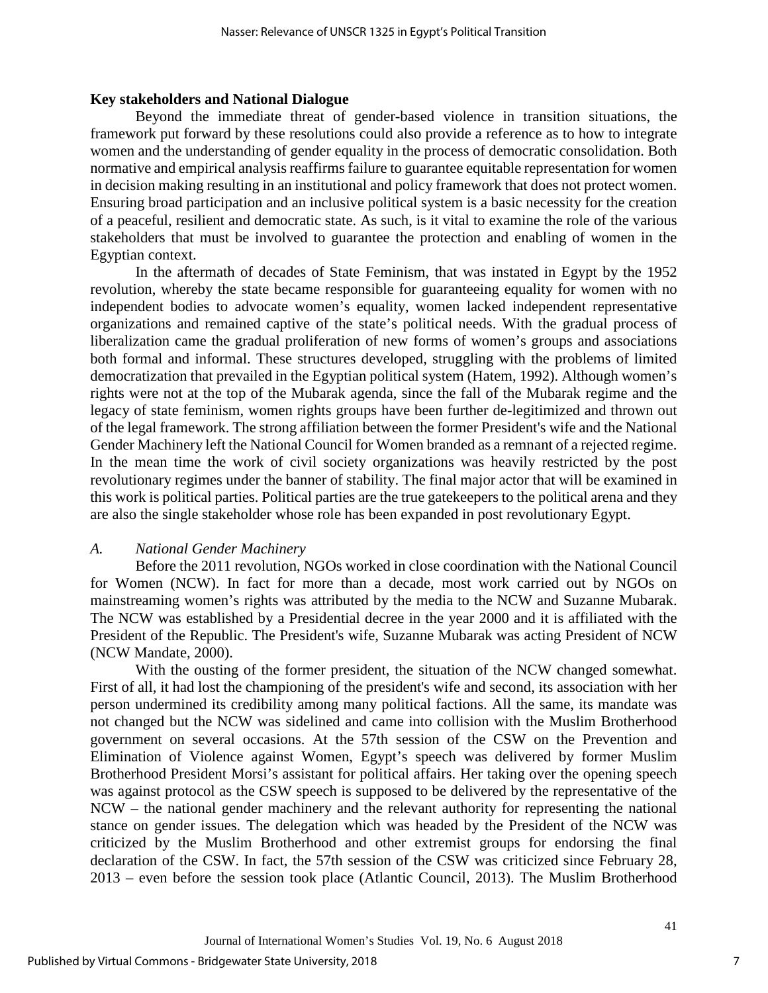#### **Key stakeholders and National Dialogue**

Beyond the immediate threat of gender-based violence in transition situations, the framework put forward by these resolutions could also provide a reference as to how to integrate women and the understanding of gender equality in the process of democratic consolidation. Both normative and empirical analysis reaffirms failure to guarantee equitable representation for women in decision making resulting in an institutional and policy framework that does not protect women. Ensuring broad participation and an inclusive political system is a basic necessity for the creation of a peaceful, resilient and democratic state. As such, is it vital to examine the role of the various stakeholders that must be involved to guarantee the protection and enabling of women in the Egyptian context.

In the aftermath of decades of State Feminism, that was instated in Egypt by the 1952 revolution, whereby the state became responsible for guaranteeing equality for women with no independent bodies to advocate women's equality, women lacked independent representative organizations and remained captive of the state's political needs. With the gradual process of liberalization came the gradual proliferation of new forms of women's groups and associations both formal and informal. These structures developed, struggling with the problems of limited democratization that prevailed in the Egyptian political system (Hatem, 1992). Although women's rights were not at the top of the Mubarak agenda, since the fall of the Mubarak regime and the legacy of state feminism, women rights groups have been further de-legitimized and thrown out of the legal framework. The strong affiliation between the former President's wife and the National Gender Machinery left the National Council for Women branded as a remnant of a rejected regime. In the mean time the work of civil society organizations was heavily restricted by the post revolutionary regimes under the banner of stability. The final major actor that will be examined in this work is political parties. Political parties are the true gatekeepers to the political arena and they are also the single stakeholder whose role has been expanded in post revolutionary Egypt.

## *A. National Gender Machinery*

Before the 2011 revolution, NGOs worked in close coordination with the National Council for Women (NCW). In fact for more than a decade, most work carried out by NGOs on mainstreaming women's rights was attributed by the media to the NCW and Suzanne Mubarak. The NCW was established by a Presidential decree in the year 2000 and it is affiliated with the President of the Republic. The President's wife, Suzanne Mubarak was acting President of NCW (NCW Mandate, 2000).

With the ousting of the former president, the situation of the NCW changed somewhat. First of all, it had lost the championing of the president's wife and second, its association with her person undermined its credibility among many political factions. All the same, its mandate was not changed but the NCW was sidelined and came into collision with the Muslim Brotherhood government on several occasions. At the 57th session of the CSW on the Prevention and Elimination of Violence against Women, Egypt's speech was delivered by former Muslim Brotherhood President Morsi's assistant for political affairs. Her taking over the opening speech was against protocol as the CSW speech is supposed to be delivered by the representative of the NCW – the national gender machinery and the relevant authority for representing the national stance on gender issues. The delegation which was headed by the President of the NCW was criticized by the Muslim Brotherhood and other extremist groups for endorsing the final declaration of the CSW. In fact, the 57th session of the CSW was criticized since February 28, 2013 – even before the session took place (Atlantic Council, 2013). The Muslim Brotherhood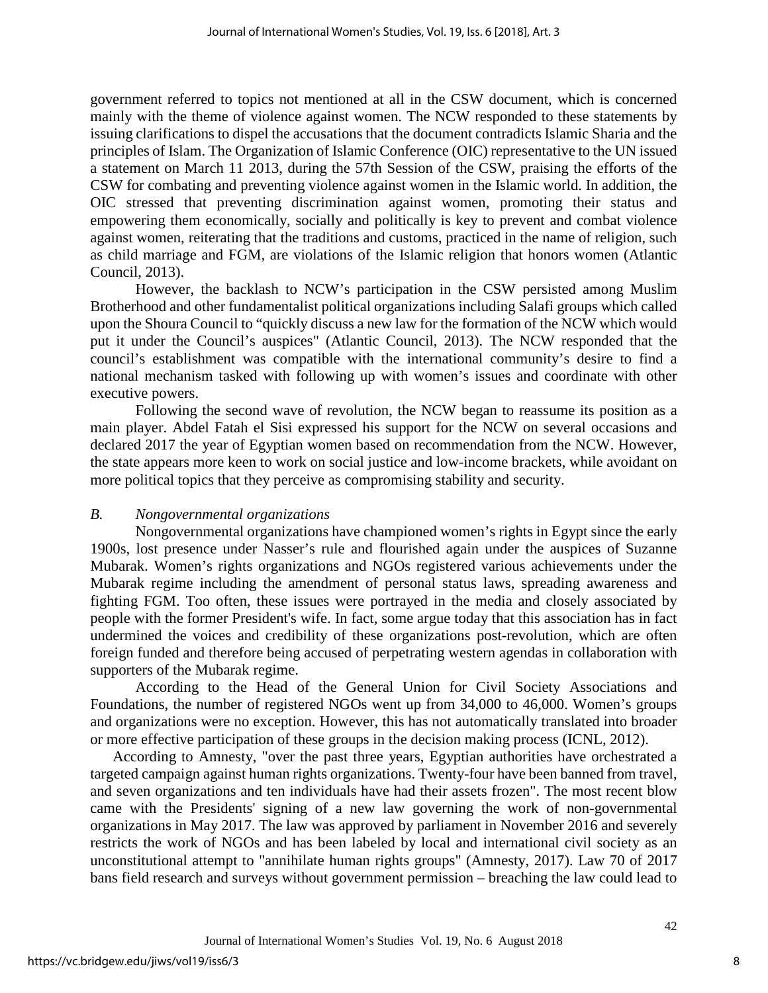government referred to topics not mentioned at all in the CSW document, which is concerned mainly with the theme of violence against women. The NCW responded to these statements by issuing clarifications to dispel the accusations that the document contradicts Islamic Sharia and the principles of Islam. The Organization of Islamic Conference (OIC) representative to the UN issued a statement on March 11 2013, during the 57th Session of the CSW, praising the efforts of the CSW for combating and preventing violence against women in the Islamic world. In addition, the OIC stressed that preventing discrimination against women, promoting their status and empowering them economically, socially and politically is key to prevent and combat violence against women, reiterating that the traditions and customs, practiced in the name of religion, such as child marriage and FGM, are violations of the Islamic religion that honors women (Atlantic Council, 2013).

However, the backlash to NCW's participation in the CSW persisted among Muslim Brotherhood and other fundamentalist political organizations including Salafi groups which called upon the Shoura Council to "quickly discuss a new law for the formation of the NCW which would put it under the Council's auspices" (Atlantic Council, 2013). The NCW responded that the council's establishment was compatible with the international community's desire to find a national mechanism tasked with following up with women's issues and coordinate with other executive powers.

Following the second wave of revolution, the NCW began to reassume its position as a main player. Abdel Fatah el Sisi expressed his support for the NCW on several occasions and declared 2017 the year of Egyptian women based on recommendation from the NCW. However, the state appears more keen to work on social justice and low-income brackets, while avoidant on more political topics that they perceive as compromising stability and security.

## *B. Nongovernmental organizations*

Nongovernmental organizations have championed women's rights in Egypt since the early 1900s, lost presence under Nasser's rule and flourished again under the auspices of Suzanne Mubarak. Women's rights organizations and NGOs registered various achievements under the Mubarak regime including the amendment of personal status laws, spreading awareness and fighting FGM. Too often, these issues were portrayed in the media and closely associated by people with the former President's wife. In fact, some argue today that this association has in fact undermined the voices and credibility of these organizations post-revolution, which are often foreign funded and therefore being accused of perpetrating western agendas in collaboration with supporters of the Mubarak regime.

According to the Head of the General Union for Civil Society Associations and Foundations, the number of registered NGOs went up from 34,000 to 46,000. Women's groups and organizations were no exception. However, this has not automatically translated into broader or more effective participation of these groups in the decision making process (ICNL, 2012).

According to Amnesty, "over the past three years, Egyptian authorities have orchestrated a targeted campaign against human rights organizations. Twenty-four have been banned from travel, and seven organizations and ten individuals have had their assets frozen". The most recent blow came with the Presidents' signing of a new law governing the work of non-governmental organizations in May 2017. The law was approved by parliament in November 2016 and severely restricts the work of NGOs and has been labeled by local and international civil society as an unconstitutional attempt to "annihilate human rights groups" (Amnesty, 2017). Law 70 of 2017 bans field research and surveys without government permission – breaching the law could lead to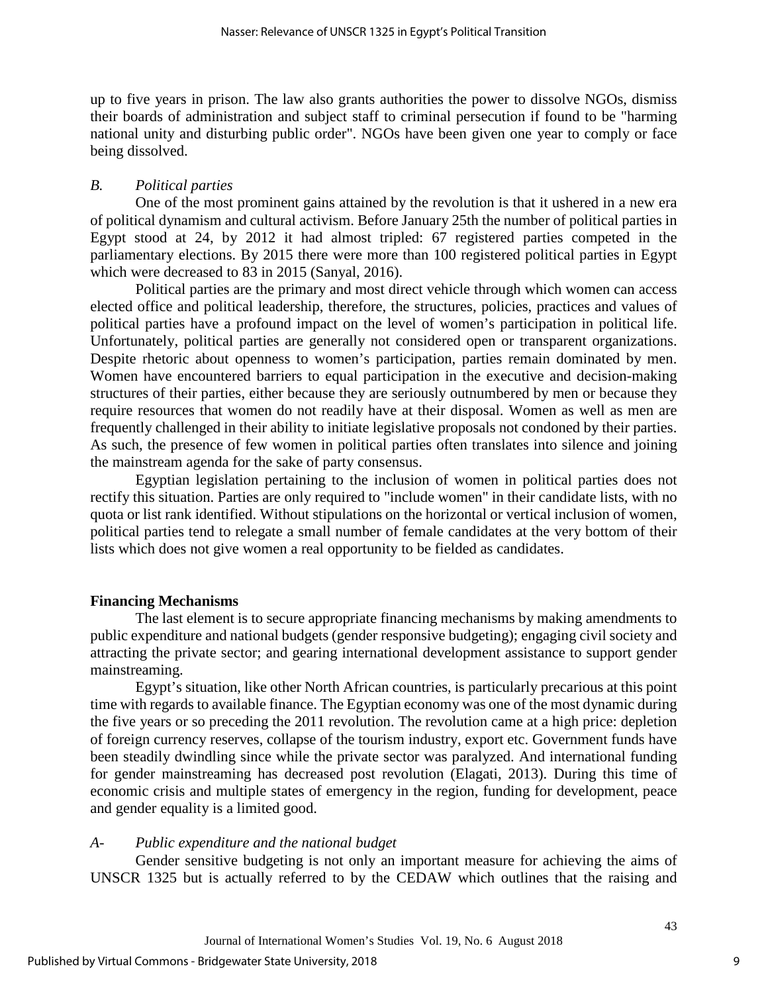up to five years in prison. The law also grants authorities the power to dissolve NGOs, dismiss their boards of administration and subject staff to criminal persecution if found to be "harming national unity and disturbing public order". NGOs have been given one year to comply or face being dissolved.

## *B. Political parties*

One of the most prominent gains attained by the revolution is that it ushered in a new era of political dynamism and cultural activism. Before January 25th the number of political parties in Egypt stood at 24, by 2012 it had almost tripled: 67 registered parties competed in the parliamentary elections. By 2015 there were more than 100 registered political parties in Egypt which were decreased to 83 in 2015 (Sanyal, 2016).

Political parties are the primary and most direct vehicle through which women can access elected office and political leadership, therefore, the structures, policies, practices and values of political parties have a profound impact on the level of women's participation in political life. Unfortunately, political parties are generally not considered open or transparent organizations. Despite rhetoric about openness to women's participation, parties remain dominated by men. Women have encountered barriers to equal participation in the executive and decision-making structures of their parties, either because they are seriously outnumbered by men or because they require resources that women do not readily have at their disposal. Women as well as men are frequently challenged in their ability to initiate legislative proposals not condoned by their parties. As such, the presence of few women in political parties often translates into silence and joining the mainstream agenda for the sake of party consensus.

Egyptian legislation pertaining to the inclusion of women in political parties does not rectify this situation. Parties are only required to "include women" in their candidate lists, with no quota or list rank identified. Without stipulations on the horizontal or vertical inclusion of women, political parties tend to relegate a small number of female candidates at the very bottom of their lists which does not give women a real opportunity to be fielded as candidates.

## **Financing Mechanisms**

The last element is to secure appropriate financing mechanisms by making amendments to public expenditure and national budgets (gender responsive budgeting); engaging civil society and attracting the private sector; and gearing international development assistance to support gender mainstreaming.

Egypt's situation, like other North African countries, is particularly precarious at this point time with regards to available finance. The Egyptian economy was one of the most dynamic during the five years or so preceding the 2011 revolution. The revolution came at a high price: depletion of foreign currency reserves, collapse of the tourism industry, export etc. Government funds have been steadily dwindling since while the private sector was paralyzed. And international funding for gender mainstreaming has decreased post revolution (Elagati, 2013). During this time of economic crisis and multiple states of emergency in the region, funding for development, peace and gender equality is a limited good.

## *A- Public expenditure and the national budget*

Gender sensitive budgeting is not only an important measure for achieving the aims of UNSCR 1325 but is actually referred to by the CEDAW which outlines that the raising and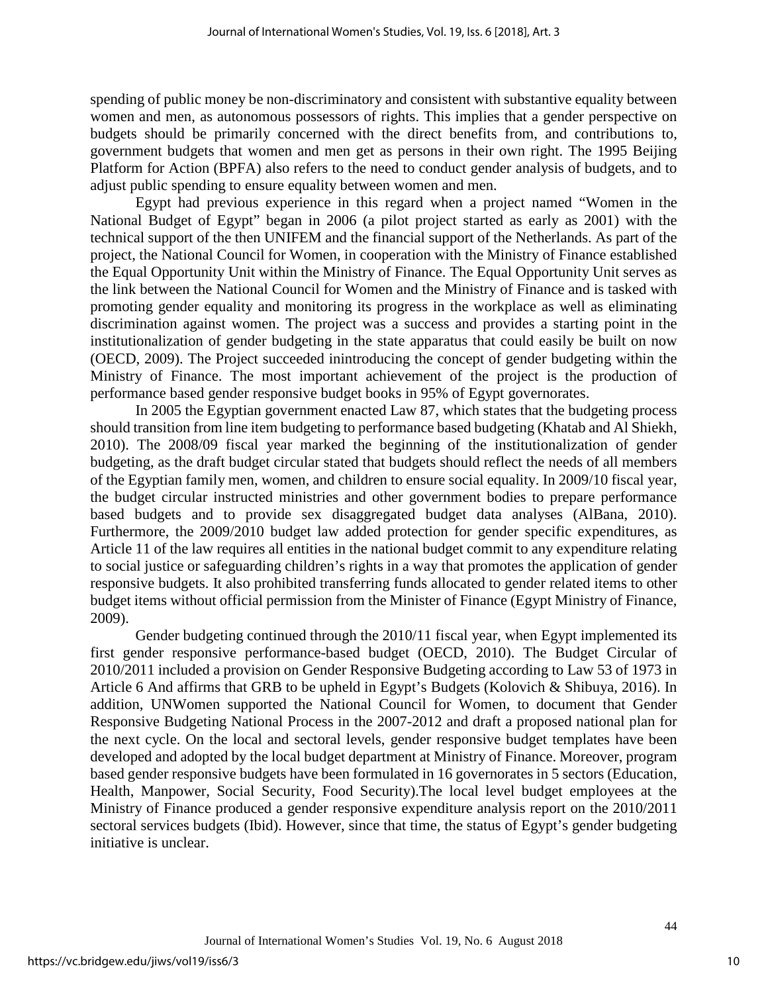spending of public money be non-discriminatory and consistent with substantive equality between women and men, as autonomous possessors of rights. This implies that a gender perspective on budgets should be primarily concerned with the direct benefits from, and contributions to, government budgets that women and men get as persons in their own right. The 1995 Beijing Platform for Action (BPFA) also refers to the need to conduct gender analysis of budgets, and to adjust public spending to ensure equality between women and men.

Egypt had previous experience in this regard when a project named "Women in the National Budget of Egypt" began in 2006 (a pilot project started as early as 2001) with the technical support of the then UNIFEM and the financial support of the Netherlands. As part of the project, the National Council for Women, in cooperation with the Ministry of Finance established the Equal Opportunity Unit within the Ministry of Finance. The Equal Opportunity Unit serves as the link between the National Council for Women and the Ministry of Finance and is tasked with promoting gender equality and monitoring its progress in the workplace as well as eliminating discrimination against women. The project was a success and provides a starting point in the institutionalization of gender budgeting in the state apparatus that could easily be built on now (OECD, 2009). The Project succeeded inintroducing the concept of gender budgeting within the Ministry of Finance. The most important achievement of the project is the production of performance based gender responsive budget books in 95% of Egypt governorates.

In 2005 the Egyptian government enacted Law 87, which states that the budgeting process should transition from line item budgeting to performance based budgeting (Khatab and Al Shiekh, 2010). The 2008/09 fiscal year marked the beginning of the institutionalization of gender budgeting, as the draft budget circular stated that budgets should reflect the needs of all members of the Egyptian family men, women, and children to ensure social equality. In 2009/10 fiscal year, the budget circular instructed ministries and other government bodies to prepare performance based budgets and to provide sex disaggregated budget data analyses (AlBana, 2010). Furthermore, the 2009/2010 budget law added protection for gender specific expenditures, as Article 11 of the law requires all entities in the national budget commit to any expenditure relating to social justice or safeguarding children's rights in a way that promotes the application of gender responsive budgets. It also prohibited transferring funds allocated to gender related items to other budget items without official permission from the Minister of Finance (Egypt Ministry of Finance, 2009).

Gender budgeting continued through the 2010/11 fiscal year, when Egypt implemented its first gender responsive performance-based budget (OECD, 2010). The Budget Circular of 2010/2011 included a provision on Gender Responsive Budgeting according to Law 53 of 1973 in Article 6 And affirms that GRB to be upheld in Egypt's Budgets (Kolovich & Shibuya, 2016). In addition, UNWomen supported the National Council for Women, to document that Gender Responsive Budgeting National Process in the 2007-2012 and draft a proposed national plan for the next cycle. On the local and sectoral levels, gender responsive budget templates have been developed and adopted by the local budget department at Ministry of Finance. Moreover, program based gender responsive budgets have been formulated in 16 governorates in 5 sectors (Education, Health, Manpower, Social Security, Food Security).The local level budget employees at the Ministry of Finance produced a gender responsive expenditure analysis report on the 2010/2011 sectoral services budgets (Ibid). However, since that time, the status of Egypt's gender budgeting initiative is unclear.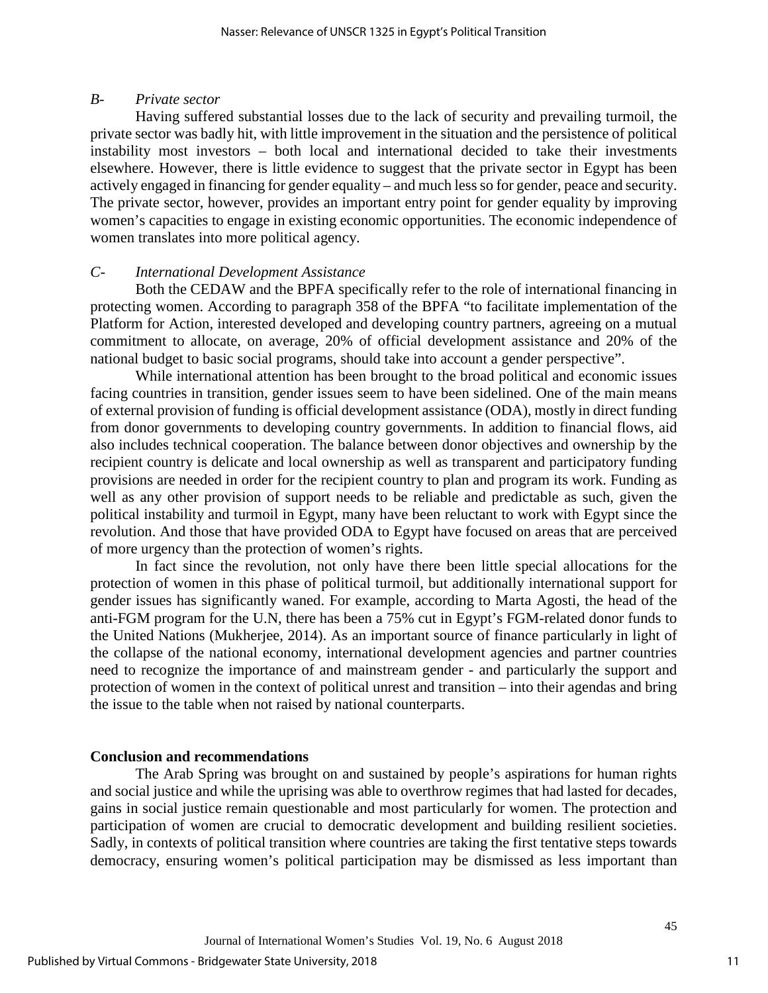#### *B- Private sector*

Having suffered substantial losses due to the lack of security and prevailing turmoil, the private sector was badly hit, with little improvement in the situation and the persistence of political instability most investors – both local and international decided to take their investments elsewhere. However, there is little evidence to suggest that the private sector in Egypt has been actively engaged in financing for gender equality – and much less so for gender, peace and security. The private sector, however, provides an important entry point for gender equality by improving women's capacities to engage in existing economic opportunities. The economic independence of women translates into more political agency.

## *C- International Development Assistance*

Both the CEDAW and the BPFA specifically refer to the role of international financing in protecting women. According to paragraph 358 of the BPFA "to facilitate implementation of the Platform for Action, interested developed and developing country partners, agreeing on a mutual commitment to allocate, on average, 20% of official development assistance and 20% of the national budget to basic social programs, should take into account a gender perspective".

While international attention has been brought to the broad political and economic issues facing countries in transition, gender issues seem to have been sidelined. One of the main means of external provision of funding is official development assistance (ODA), mostly in direct funding from donor governments to developing country governments. In addition to financial flows, aid also includes technical cooperation. The balance between donor objectives and ownership by the recipient country is delicate and local ownership as well as transparent and participatory funding provisions are needed in order for the recipient country to plan and program its work. Funding as well as any other provision of support needs to be reliable and predictable as such, given the political instability and turmoil in Egypt, many have been reluctant to work with Egypt since the revolution. And those that have provided ODA to Egypt have focused on areas that are perceived of more urgency than the protection of women's rights.

In fact since the revolution, not only have there been little special allocations for the protection of women in this phase of political turmoil, but additionally international support for gender issues has significantly waned. For example, according to Marta Agosti, the head of the anti-FGM program for the U.N, there has been a 75% cut in Egypt's FGM-related donor funds to the United Nations (Mukherjee, 2014). As an important source of finance particularly in light of the collapse of the national economy, international development agencies and partner countries need to recognize the importance of and mainstream gender - and particularly the support and protection of women in the context of political unrest and transition – into their agendas and bring the issue to the table when not raised by national counterparts.

## **Conclusion and recommendations**

The Arab Spring was brought on and sustained by people's aspirations for human rights and social justice and while the uprising was able to overthrow regimes that had lasted for decades, gains in social justice remain questionable and most particularly for women. The protection and participation of women are crucial to democratic development and building resilient societies. Sadly, in contexts of political transition where countries are taking the first tentative steps towards democracy, ensuring women's political participation may be dismissed as less important than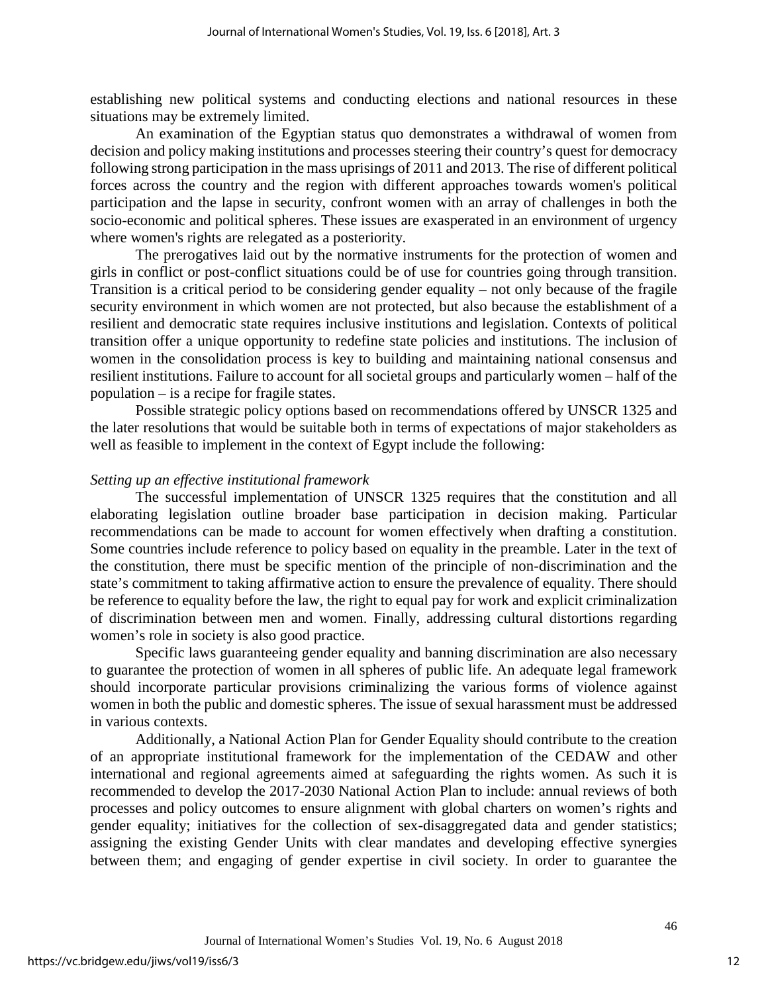establishing new political systems and conducting elections and national resources in these situations may be extremely limited.

An examination of the Egyptian status quo demonstrates a withdrawal of women from decision and policy making institutions and processes steering their country's quest for democracy following strong participation in the mass uprisings of 2011 and 2013. The rise of different political forces across the country and the region with different approaches towards women's political participation and the lapse in security, confront women with an array of challenges in both the socio-economic and political spheres. These issues are exasperated in an environment of urgency where women's rights are relegated as a posteriority.

The prerogatives laid out by the normative instruments for the protection of women and girls in conflict or post-conflict situations could be of use for countries going through transition. Transition is a critical period to be considering gender equality – not only because of the fragile security environment in which women are not protected, but also because the establishment of a resilient and democratic state requires inclusive institutions and legislation. Contexts of political transition offer a unique opportunity to redefine state policies and institutions. The inclusion of women in the consolidation process is key to building and maintaining national consensus and resilient institutions. Failure to account for all societal groups and particularly women – half of the population – is a recipe for fragile states.

Possible strategic policy options based on recommendations offered by UNSCR 1325 and the later resolutions that would be suitable both in terms of expectations of major stakeholders as well as feasible to implement in the context of Egypt include the following:

## *Setting up an effective institutional framework*

The successful implementation of UNSCR 1325 requires that the constitution and all elaborating legislation outline broader base participation in decision making. Particular recommendations can be made to account for women effectively when drafting a constitution. Some countries include reference to policy based on equality in the preamble. Later in the text of the constitution, there must be specific mention of the principle of non-discrimination and the state's commitment to taking affirmative action to ensure the prevalence of equality. There should be reference to equality before the law, the right to equal pay for work and explicit criminalization of discrimination between men and women. Finally, addressing cultural distortions regarding women's role in society is also good practice.

Specific laws guaranteeing gender equality and banning discrimination are also necessary to guarantee the protection of women in all spheres of public life. An adequate legal framework should incorporate particular provisions criminalizing the various forms of violence against women in both the public and domestic spheres. The issue of sexual harassment must be addressed in various contexts.

Additionally, a National Action Plan for Gender Equality should contribute to the creation of an appropriate institutional framework for the implementation of the CEDAW and other international and regional agreements aimed at safeguarding the rights women. As such it is recommended to develop the 2017-2030 National Action Plan to include: annual reviews of both processes and policy outcomes to ensure alignment with global charters on women's rights and gender equality; initiatives for the collection of sex-disaggregated data and gender statistics; assigning the existing Gender Units with clear mandates and developing effective synergies between them; and engaging of gender expertise in civil society. In order to guarantee the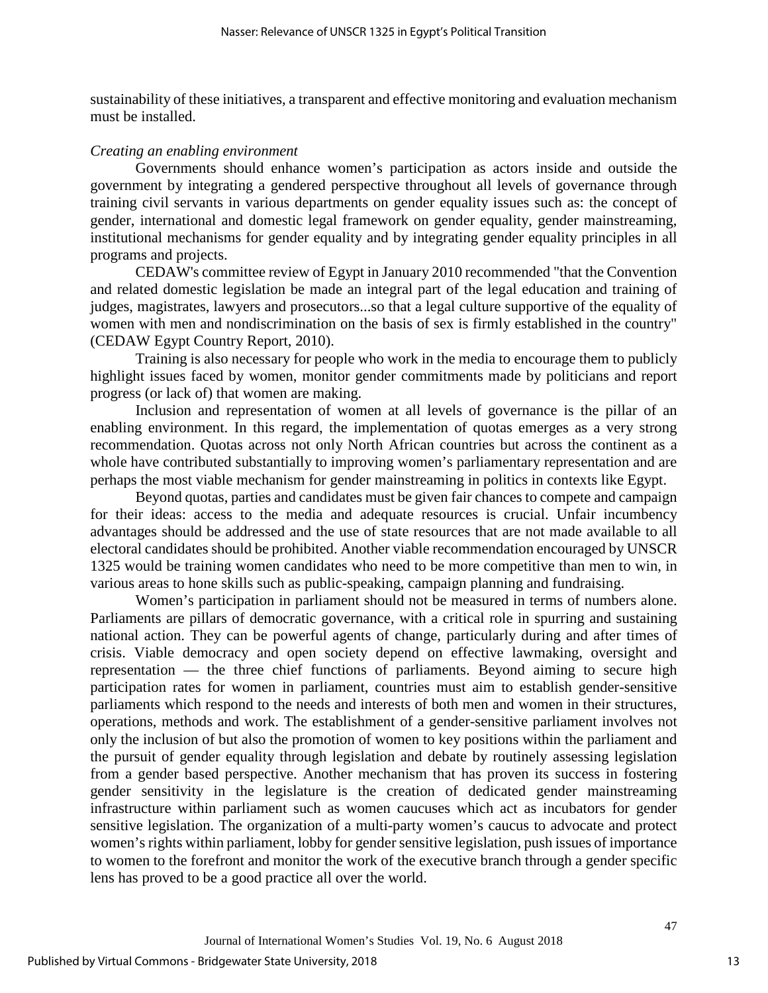sustainability of these initiatives, a transparent and effective monitoring and evaluation mechanism must be installed.

#### *Creating an enabling environment*

Governments should enhance women's participation as actors inside and outside the government by integrating a gendered perspective throughout all levels of governance through training civil servants in various departments on gender equality issues such as: the concept of gender, international and domestic legal framework on gender equality, gender mainstreaming, institutional mechanisms for gender equality and by integrating gender equality principles in all programs and projects.

CEDAW's committee review of Egypt in January 2010 recommended "that the Convention and related domestic legislation be made an integral part of the legal education and training of judges, magistrates, lawyers and prosecutors...so that a legal culture supportive of the equality of women with men and nondiscrimination on the basis of sex is firmly established in the country" (CEDAW Egypt Country Report, 2010).

Training is also necessary for people who work in the media to encourage them to publicly highlight issues faced by women, monitor gender commitments made by politicians and report progress (or lack of) that women are making.

Inclusion and representation of women at all levels of governance is the pillar of an enabling environment. In this regard, the implementation of quotas emerges as a very strong recommendation. Quotas across not only North African countries but across the continent as a whole have contributed substantially to improving women's parliamentary representation and are perhaps the most viable mechanism for gender mainstreaming in politics in contexts like Egypt.

Beyond quotas, parties and candidates must be given fair chances to compete and campaign for their ideas: access to the media and adequate resources is crucial. Unfair incumbency advantages should be addressed and the use of state resources that are not made available to all electoral candidates should be prohibited. Another viable recommendation encouraged by UNSCR 1325 would be training women candidates who need to be more competitive than men to win, in various areas to hone skills such as public-speaking, campaign planning and fundraising.

Women's participation in parliament should not be measured in terms of numbers alone. Parliaments are pillars of democratic governance, with a critical role in spurring and sustaining national action. They can be powerful agents of change, particularly during and after times of crisis. Viable democracy and open society depend on effective lawmaking, oversight and representation — the three chief functions of parliaments. Beyond aiming to secure high participation rates for women in parliament, countries must aim to establish gender-sensitive parliaments which respond to the needs and interests of both men and women in their structures, operations, methods and work. The establishment of a gender-sensitive parliament involves not only the inclusion of but also the promotion of women to key positions within the parliament and the pursuit of gender equality through legislation and debate by routinely assessing legislation from a gender based perspective. Another mechanism that has proven its success in fostering gender sensitivity in the legislature is the creation of dedicated gender mainstreaming infrastructure within parliament such as women caucuses which act as incubators for gender sensitive legislation. The organization of a multi-party women's caucus to advocate and protect women's rights within parliament, lobby for gender sensitive legislation, push issues of importance to women to the forefront and monitor the work of the executive branch through a gender specific lens has proved to be a good practice all over the world.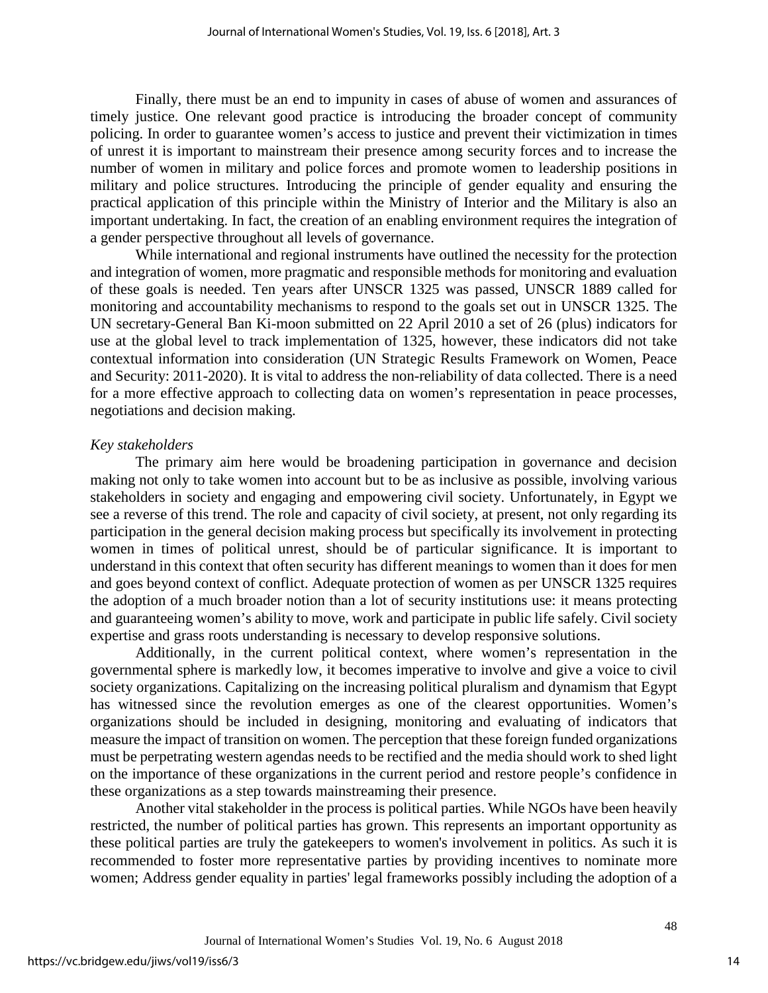Finally, there must be an end to impunity in cases of abuse of women and assurances of timely justice. One relevant good practice is introducing the broader concept of community policing. In order to guarantee women's access to justice and prevent their victimization in times of unrest it is important to mainstream their presence among security forces and to increase the number of women in military and police forces and promote women to leadership positions in military and police structures. Introducing the principle of gender equality and ensuring the practical application of this principle within the Ministry of Interior and the Military is also an important undertaking. In fact, the creation of an enabling environment requires the integration of a gender perspective throughout all levels of governance.

While international and regional instruments have outlined the necessity for the protection and integration of women, more pragmatic and responsible methods for monitoring and evaluation of these goals is needed. Ten years after UNSCR 1325 was passed, UNSCR 1889 called for monitoring and accountability mechanisms to respond to the goals set out in UNSCR 1325. The UN secretary-General Ban Ki-moon submitted on 22 April 2010 a set of 26 (plus) indicators for use at the global level to track implementation of 1325, however, these indicators did not take contextual information into consideration (UN Strategic Results Framework on Women, Peace and Security: 2011-2020). It is vital to address the non-reliability of data collected. There is a need for a more effective approach to collecting data on women's representation in peace processes, negotiations and decision making.

#### *Key stakeholders*

The primary aim here would be broadening participation in governance and decision making not only to take women into account but to be as inclusive as possible, involving various stakeholders in society and engaging and empowering civil society. Unfortunately, in Egypt we see a reverse of this trend. The role and capacity of civil society, at present, not only regarding its participation in the general decision making process but specifically its involvement in protecting women in times of political unrest, should be of particular significance. It is important to understand in this context that often security has different meanings to women than it does for men and goes beyond context of conflict. Adequate protection of women as per UNSCR 1325 requires the adoption of a much broader notion than a lot of security institutions use: it means protecting and guaranteeing women's ability to move, work and participate in public life safely. Civil society expertise and grass roots understanding is necessary to develop responsive solutions.

Additionally, in the current political context, where women's representation in the governmental sphere is markedly low, it becomes imperative to involve and give a voice to civil society organizations. Capitalizing on the increasing political pluralism and dynamism that Egypt has witnessed since the revolution emerges as one of the clearest opportunities. Women's organizations should be included in designing, monitoring and evaluating of indicators that measure the impact of transition on women. The perception that these foreign funded organizations must be perpetrating western agendas needs to be rectified and the media should work to shed light on the importance of these organizations in the current period and restore people's confidence in these organizations as a step towards mainstreaming their presence.

Another vital stakeholder in the process is political parties. While NGOs have been heavily restricted, the number of political parties has grown. This represents an important opportunity as these political parties are truly the gatekeepers to women's involvement in politics. As such it is recommended to foster more representative parties by providing incentives to nominate more women; Address gender equality in parties' legal frameworks possibly including the adoption of a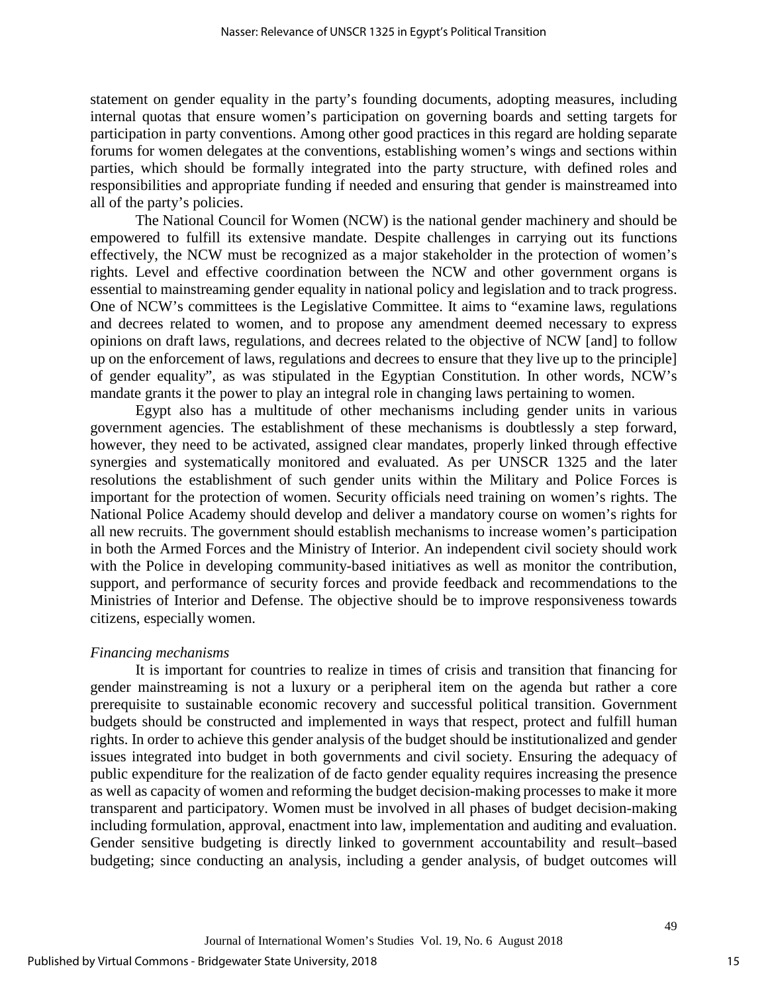statement on gender equality in the party's founding documents, adopting measures, including internal quotas that ensure women's participation on governing boards and setting targets for participation in party conventions. Among other good practices in this regard are holding separate forums for women delegates at the conventions, establishing women's wings and sections within parties, which should be formally integrated into the party structure, with defined roles and responsibilities and appropriate funding if needed and ensuring that gender is mainstreamed into all of the party's policies.

The National Council for Women (NCW) is the national gender machinery and should be empowered to fulfill its extensive mandate. Despite challenges in carrying out its functions effectively, the NCW must be recognized as a major stakeholder in the protection of women's rights. Level and effective coordination between the NCW and other government organs is essential to mainstreaming gender equality in national policy and legislation and to track progress. One of NCW's committees is the Legislative Committee. It aims to "examine laws, regulations and decrees related to women, and to propose any amendment deemed necessary to express opinions on draft laws, regulations, and decrees related to the objective of NCW [and] to follow up on the enforcement of laws, regulations and decrees to ensure that they live up to the principle] of gender equality", as was stipulated in the Egyptian Constitution. In other words, NCW's mandate grants it the power to play an integral role in changing laws pertaining to women.

Egypt also has a multitude of other mechanisms including gender units in various government agencies. The establishment of these mechanisms is doubtlessly a step forward, however, they need to be activated, assigned clear mandates, properly linked through effective synergies and systematically monitored and evaluated. As per UNSCR 1325 and the later resolutions the establishment of such gender units within the Military and Police Forces is important for the protection of women. Security officials need training on women's rights. The National Police Academy should develop and deliver a mandatory course on women's rights for all new recruits. The government should establish mechanisms to increase women's participation in both the Armed Forces and the Ministry of Interior. An independent civil society should work with the Police in developing community-based initiatives as well as monitor the contribution, support, and performance of security forces and provide feedback and recommendations to the Ministries of Interior and Defense. The objective should be to improve responsiveness towards citizens, especially women.

## *Financing mechanisms*

It is important for countries to realize in times of crisis and transition that financing for gender mainstreaming is not a luxury or a peripheral item on the agenda but rather a core prerequisite to sustainable economic recovery and successful political transition. Government budgets should be constructed and implemented in ways that respect, protect and fulfill human rights. In order to achieve this gender analysis of the budget should be institutionalized and gender issues integrated into budget in both governments and civil society. Ensuring the adequacy of public expenditure for the realization of de facto gender equality requires increasing the presence as well as capacity of women and reforming the budget decision-making processes to make it more transparent and participatory. Women must be involved in all phases of budget decision-making including formulation, approval, enactment into law, implementation and auditing and evaluation. Gender sensitive budgeting is directly linked to government accountability and result–based budgeting; since conducting an analysis, including a gender analysis, of budget outcomes will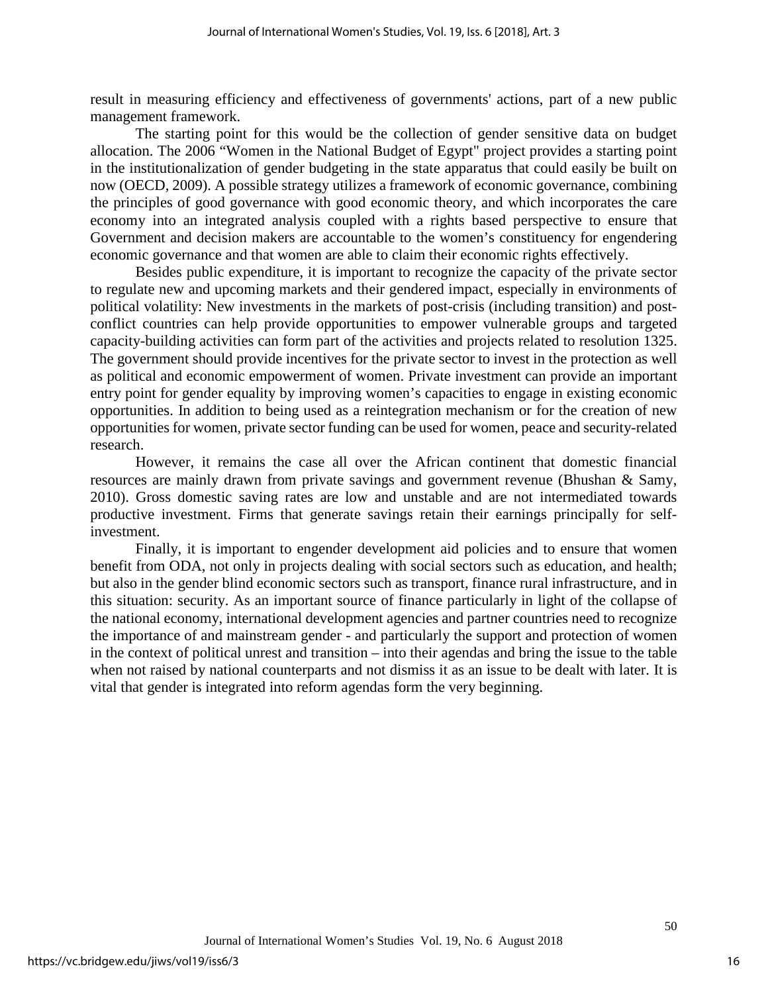result in measuring efficiency and effectiveness of governments' actions, part of a new public management framework.

The starting point for this would be the collection of gender sensitive data on budget allocation. The 2006 "Women in the National Budget of Egypt" project provides a starting point in the institutionalization of gender budgeting in the state apparatus that could easily be built on now (OECD, 2009). A possible strategy utilizes a framework of economic governance, combining the principles of good governance with good economic theory, and which incorporates the care economy into an integrated analysis coupled with a rights based perspective to ensure that Government and decision makers are accountable to the women's constituency for engendering economic governance and that women are able to claim their economic rights effectively.

Besides public expenditure, it is important to recognize the capacity of the private sector to regulate new and upcoming markets and their gendered impact, especially in environments of political volatility: New investments in the markets of post-crisis (including transition) and postconflict countries can help provide opportunities to empower vulnerable groups and targeted capacity-building activities can form part of the activities and projects related to resolution 1325. The government should provide incentives for the private sector to invest in the protection as well as political and economic empowerment of women. Private investment can provide an important entry point for gender equality by improving women's capacities to engage in existing economic opportunities. In addition to being used as a reintegration mechanism or for the creation of new opportunities for women, private sector funding can be used for women, peace and security-related research.

However, it remains the case all over the African continent that domestic financial resources are mainly drawn from private savings and government revenue (Bhushan & Samy, 2010). Gross domestic saving rates are low and unstable and are not intermediated towards productive investment. Firms that generate savings retain their earnings principally for selfinvestment.

Finally, it is important to engender development aid policies and to ensure that women benefit from ODA, not only in projects dealing with social sectors such as education, and health; but also in the gender blind economic sectors such as transport, finance rural infrastructure, and in this situation: security. As an important source of finance particularly in light of the collapse of the national economy, international development agencies and partner countries need to recognize the importance of and mainstream gender - and particularly the support and protection of women in the context of political unrest and transition – into their agendas and bring the issue to the table when not raised by national counterparts and not dismiss it as an issue to be dealt with later. It is vital that gender is integrated into reform agendas form the very beginning.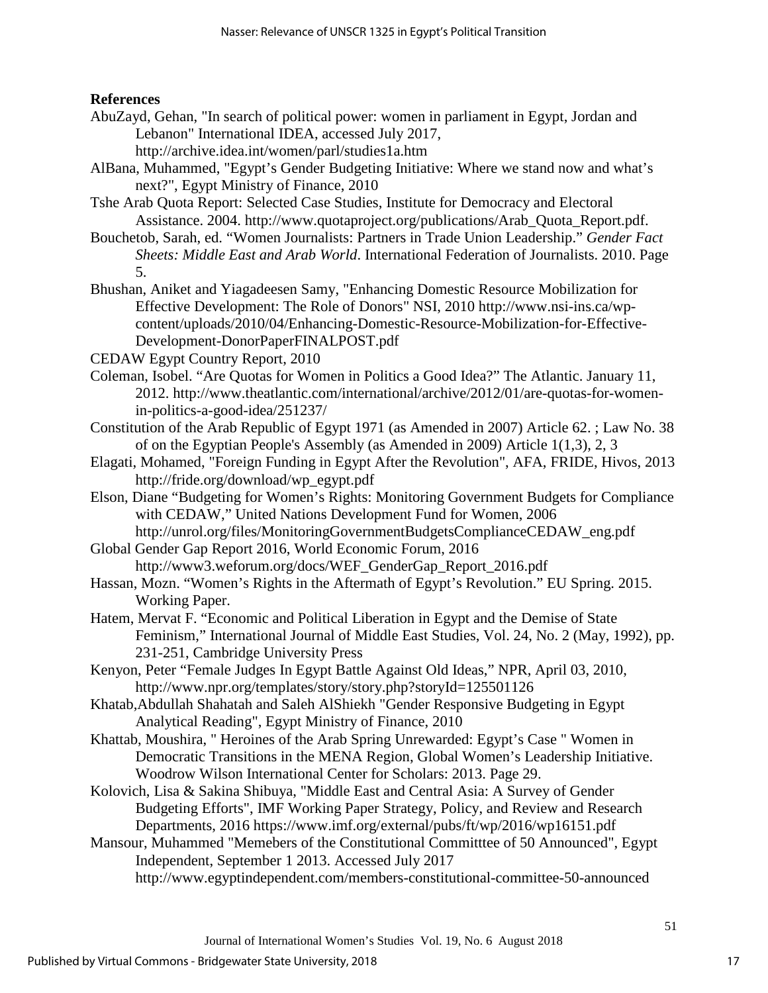## **References**

AbuZayd, Gehan, "In search of political power: women in parliament in Egypt, Jordan and Lebanon" International IDEA, accessed July 2017,

http://archive.idea.int/women/parl/studies1a.htm

- AlBana, Muhammed, "Egypt's Gender Budgeting Initiative: Where we stand now and what's next?", Egypt Ministry of Finance, 2010
- Tshe Arab Quota Report: Selected Case Studies, Institute for Democracy and Electoral Assistance. 2004. http://www.quotaproject.org/publications/Arab\_Quota\_Report.pdf.
- Bouchetob, Sarah, ed. "Women Journalists: Partners in Trade Union Leadership." *Gender Fact Sheets: Middle East and Arab World*. International Federation of Journalists. 2010. Page 5.
- Bhushan, Aniket and Yiagadeesen Samy, "Enhancing Domestic Resource Mobilization for Effective Development: The Role of Donors" NSI, 2010 http://www.nsi-ins.ca/wpcontent/uploads/2010/04/Enhancing-Domestic-Resource-Mobilization-for-Effective-Development-DonorPaperFINALPOST.pdf

CEDAW Egypt Country Report, 2010

- Coleman, Isobel. "Are Quotas for Women in Politics a Good Idea?" The Atlantic. January 11, 2012. http://www.theatlantic.com/international/archive/2012/01/are-quotas-for-womenin-politics-a-good-idea/251237/
- Constitution of the Arab Republic of Egypt 1971 (as Amended in 2007) Article 62. ; Law No. 38 of on the Egyptian People's Assembly (as Amended in 2009) Article 1(1,3), 2, 3
- Elagati, Mohamed, "Foreign Funding in Egypt After the Revolution", AFA, FRIDE, Hivos, 2013 http://fride.org/download/wp\_egypt.pdf
- Elson, Diane "Budgeting for Women's Rights: Monitoring Government Budgets for Compliance with CEDAW," United Nations Development Fund for Women, 2006 http://unrol.org/files/MonitoringGovernmentBudgetsComplianceCEDAW\_eng.pdf

Global Gender Gap Report 2016, World Economic Forum, 2016 http://www3.weforum.org/docs/WEF\_GenderGap\_Report\_2016.pdf

- Hassan, Mozn. "Women's Rights in the Aftermath of Egypt's Revolution." EU Spring. 2015. Working Paper.
- Hatem, Mervat F. "Economic and Political Liberation in Egypt and the Demise of State Feminism," International Journal of Middle East Studies, Vol. 24, No. 2 (May, 1992), pp. 231-251, Cambridge University Press
- Kenyon, Peter "Female Judges In Egypt Battle Against Old Ideas," NPR, April 03, 2010, http://www.npr.org/templates/story/story.php?storyId=125501126
- Khatab,Abdullah Shahatah and Saleh AlShiekh "Gender Responsive Budgeting in Egypt Analytical Reading", Egypt Ministry of Finance, 2010
- Khattab, Moushira, " Heroines of the Arab Spring Unrewarded: Egypt's Case " Women in Democratic Transitions in the MENA Region, Global Women's Leadership Initiative. Woodrow Wilson International Center for Scholars: 2013. Page 29.
- Kolovich, Lisa & Sakina Shibuya, "Middle East and Central Asia: A Survey of Gender Budgeting Efforts", IMF Working Paper Strategy, Policy, and Review and Research Departments, 2016 https://www.imf.org/external/pubs/ft/wp/2016/wp16151.pdf
- Mansour, Muhammed "Memebers of the Constitutional Committtee of 50 Announced", Egypt Independent, September 1 2013. Accessed July 2017

http://www.egyptindependent.com/members-constitutional-committee-50-announced